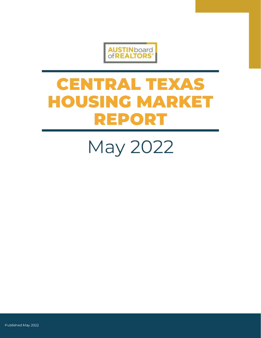

# **CENTRAL TEXAS HOUSING MARKET REPORT**

May 2022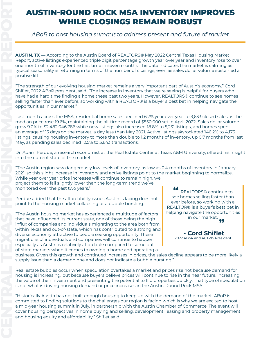# WHILE CLOSINGS REMAIN ROBUST

#### *ABoR to host housing summit to address present and future of market*

**AUSTIN, TX —** According to the Austin Board of REALTORS® May 2022 Central Texas Housing Market Report, active listings experienced triple digit percentage growth year over year and inventory rose to over one month of inventory for the first time in seven months. The data indicates the market is calming as typical seasonality is returning in terms of the number of closings, even as sales dollar volume sustained a positive lift.

"The strength of our evolving housing market remains a very important part of Austin's economy," Cord Shiflet, 2022 ABoR president, said. "The increase in inventory that we're seeing is helpful for buyers who have had a hard time finding a home these past two years. However, REALTORS® continue to see homes selling faster than ever before, so working with a REALTOR® is a buyer's best bet in helping navigate the opportunities in our market."

**CENTRAL TEXAS FROM AND ROCK MSA INVENTORY IMPROVES WHILE CLOSINGS REMAIN ROBUST<br>
CROSHER CONTRACT CONTRACT CONTRACT CONTRACT CONTRACT CONTRACT CONTRACT CONTRACT CONTRACT CONTRACT CONTRACT CONTRACT CONTRACT CONTRACT CONTR** Last month across the MSA, residential home sales declined 6.7% year over year to 3,633 closed sales as the median price rose 19.6%, maintaining the all-time record of \$550,000 set in April 2022. Sales dollar volume grew 9.0% to \$2,482,046,786 while new listings also increased 18.8% to 5,231 listings, and homes spent an average of 15 days on the market, a day less than May 2021. Active listings skyrocketed 146.2% to 4,173 listings, causing housing inventory to more than double to 1.2 months of inventory, up 0.7 months from last May, as pending sales declined 12.5% to 3,643 transactions.

Dr. Adam Perdue, a research economist at the Real Estate Center at Texas A&M University, offered his insight into the current state of the market.

"The Austin region saw dangerously low levels of inventory, as low as 0.4 months of inventory in January 2021, so this slight increase in inventory and active listings point to the market beginning to normalize. While year over year price increases will continue to remain high, we project them to fall slightly lower than the long-term trend we've monitored over the past two years."

Perdue added that the affordability issues Austin is facing does not point to the housing market collapsing or a bubble bursting.

"The Austin housing market has experienced a multitude of factors that have influenced its current state, one of those being the high influx of companies and individuals migrating to the area both from within Texas and out-of-state, which has contributed to a strong and diverse economy attractive to people seeking opportunity. These migrations of individuals and companies will continue to happen, especially as Austin is relatively affordable compared to some outof-state markets when it comes to owning a home and operating a

**"** REALTORS® continue to see homes selling faster than ever before, so working with a REALTOR® is a buyer's best bet in helping navigate the opportunities in our market.<br>**??** 



 **- Cord Shiflet** 2022 ABoR and ACTRIS President

business. Given this growth and continued increases in prices, the sales decline appears to be more likely a supply issue than a demand one and does not indicate a bubble bursting."

Real estate bubbles occur when speculation overtakes a market and prices rise not because demand for housing is increasing, but because buyers believe prices will continue to rise in the near future, increasing the value of their investment and presenting the potential to flip properties quickly. That type of speculation is not what is driving housing demand or price increases in the Austin-Round Rock MSA.

"Historically Austin has not built enough housing to keep up with the demand of the market. ABoR is committed to finding solutions to the challenges our region is facing which is why we are excited to host a mid-year housing summit in July, in partnership with the Austin Chamber of Commerce. The event will cover housing perspectives in home buying and selling, development, leasing and property management and housing equity and affordability," Shiflet said.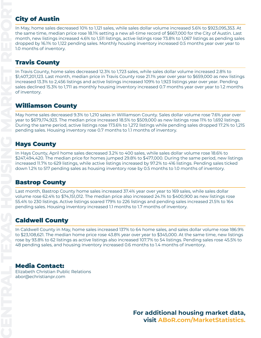### **City of Austin**

In May, home sales decreased 10% to 1,121 sales, while sales dollar volume increased 5.6% to \$923,095,353. At the same time, median price rose 18.1% setting a new all-time record of \$667,000 for the City of Austin. Last month, new listings increased 4.6% to 1,511 listings, active listings rose 73.8% to 1,067 listings as pending sales dropped by 16.1% to 1,122 pending sales. Monthly housing inventory increased 0.5 months year over year to 1.0 months of inventory.

#### Travis County

In Travis County, home sales decreased 12.3% to 1,723 sales, while sales dollar volume increased 2.8% to \$1,407,201,123. Last month, median price in Travis County rose 21.1% year over year to \$659,000 as new listings increased 13.3% to 2,456 listings and active listings increased 109% to 1,923 listings year over year. Pending sales declined 15.3% to 1,711 as monthly housing inventory increased 0.7 months year over year to 1.2 months of inventory.

#### Williamson County

May home sales decreased 9.3% to 1,210 sales in Williamson County. Sales dollar volume rose 7.6% year over year to \$679,174,923. The median price increased 18.5% to \$509,000 as new listings rose 11% to 1,692 listings. During the same period, active listings rose 173.6% to 1,272 listings while pending sales dropped 17.2% to 1,215 pending sales. Housing inventory rose 0.7 months to 1.1 months of inventory.

#### Hays County

In Hays County, April home sales decreased 3.2% to 400 sales, while sales dollar volume rose 18.6% to \$247,494,420. The median price for homes jumped 29.8% to \$477,000. During the same period, new listings increased 11.7% to 629 listings, while active listings increased by 97.2% to 416 listings. Pending sales ticked down 1.2% to 517 pending sales as housing inventory rose by 0.5 months to 1.0 months of inventory.

#### Bastrop County

Last month, Bastrop County home sales increased 37.4% year over year to 169 sales, while sales dollar volume rose 62.4% to \$74,151,012. The median price also increased 24.1% to \$400,900 as new listings rose 55.4% to 230 listings. Active listings soared 179% to 226 listings and pending sales increased 21.5% to 164 pending sales. Housing inventory increased 1.1 months to 1.7 months of inventory.

#### Caldwell County

In Caldwell County in May, home sales increased 137% to 64 home sales, and sales dollar volume rose 186.9% to \$23,108,621. The median home price rose 43.8% year over year to \$345,000. At the same time, new listings rose by 93.8% to 62 listings as active listings also increased 107.7% to 54 listings. Pending sales rose 45.5% to 48 pending sales, and housing inventory increased 0.6 months to 1.4 months of inventory.

#### [Media Contact:](https://www.abor.com/marketstatistics)

[Elizabeth Christian Public Relations](https://www.abor.com/marketstatistics) [abor@echristianpr.com](https://www.abor.com/marketstatistics)

> **For additional housing market data, visit [ABoR.com/MarketStatistics](https://www.abor.com/marketstatistics).**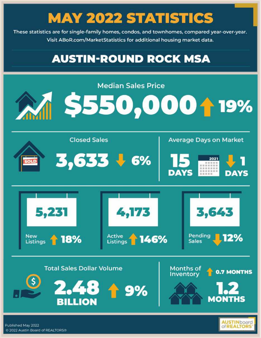These statistics are for single-family homes, condos, and townhomes, compared year-over-year. Visit ABoR.com/MarketStatistics for additional housing market data.

### **AUSTIN-ROUND ROCK MSA**

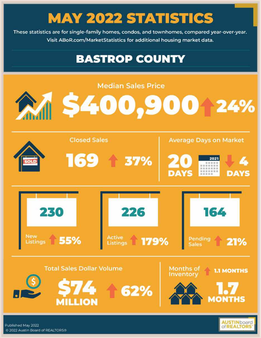These statistics are for single-family homes, condos, and townhomes, compared year-over-year. Visit ABoR.com/MarketStatistics for additional housing market data.

### **BASTROP COUNTY**



Published May 2022 C 2022 Austin Board of REALTORS®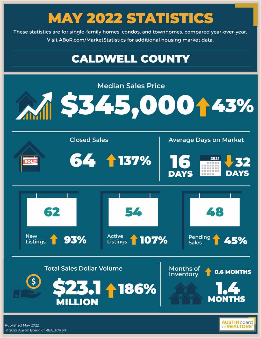These statistics are for single-family homes, condos, and townhomes, compared year-over-year. Visit ABoR.com/MarketStatistics for additional housing market data.

### **CALDWELL COUNTY**



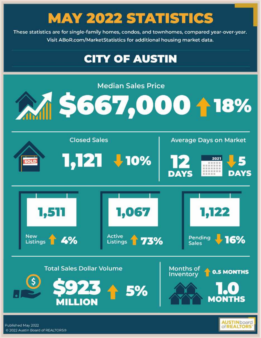These statistics are for single-family homes, condos, and townhomes, compared year-over-year. Visit ABoR.com/MarketStatistics for additional housing market data.

### **CITY OF AUSTIN**

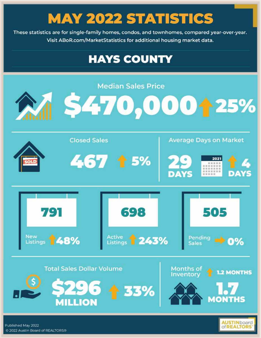These statistics are for single-family homes, condos, and townhomes, compared year-over-year. Visit ABoR.com/MarketStatistics for additional housing market data.

### **HAYS COUNTY**



**Of REALTOR** 

Published May 2022 C 2022 Austin Board of REALTORS®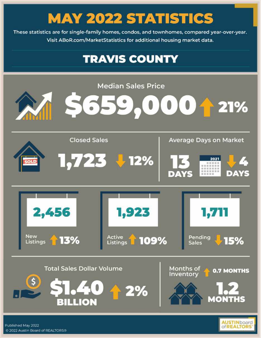These statistics are for single-family homes, condos, and townhomes, compared year-over-year. Visit ABoR.com/MarketStatistics for additional housing market data.

### **TRAVIS COUNTY**